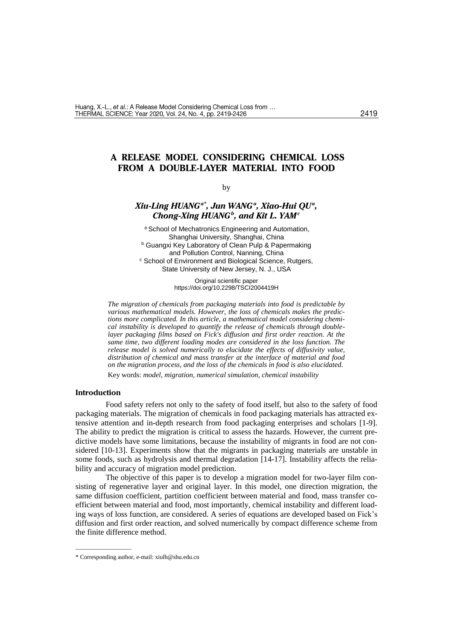# **A RELEASE MODEL CONSIDERING CHEMICAL LOSS FROM A DOUBLE-LAYER MATERIAL INTO FOOD**

### by

# *Xiu-Ling HUANGa\* , Jun WANG<sup>a</sup> , Xiao-Hui QU<sup>a</sup> , Chong-Xing HUANG<sup>b</sup> , and Kit L. YAM<sup>c</sup>*

a School of Mechatronics Engineering and Automation, Shanghai University, Shanghai, China **b Guangxi Key Laboratory of Clean Pulp & Papermaking** and Pollution Control, Nanning, China <sup>c</sup> School of Environment and Biological Science, Rutgers, State University of New Jersey, N. J., USA

> Original scientific paper https://doi.org/10.2298/TSCI2004419H

*The migration of chemicals from packaging materials into food is predictable by various mathematical models. However, the loss of chemicals makes the predictions more complicated. In this article, a mathematical model considering chemical instability is developed to quantify the release of chemicals through doublelayer packaging films based on Fick's diffusion and first order reaction. At the same time, two different loading modes are considered in the loss function. The release model is solved numerically to elucidate the effects of diffusivity value, distribution of chemical and mass transfer at the interface of material and food on the migration process, and the loss of the chemicals in food is also elucidated.* Key words: *model, migration, numerical simulation, chemical instability*

### **Introduction**

Food safety refers not only to the safety of food itself, but also to the safety of food packaging materials. The migration of chemicals in food packaging materials has attracted extensive attention and in-depth research from food packaging enterprises and scholars [1-9]. The ability to predict the migration is critical to assess the hazards. However, the current predictive models have some limitations, because the instability of migrants in food are not considered [10-13]. Experiments show that the migrants in packaging materials are unstable in some foods, such as hydrolysis and thermal degradation [14-17]. Instability affects the reliability and accuracy of migration model prediction.

The objective of this paper is to develop a migration model for two-layer film consisting of regenerative layer and original layer. In this model, one direction migration, the same diffusion coefficient, partition coefficient between material and food, mass transfer coefficient between material and food, most importantly, chemical instability and different loading ways of loss function, are considered. A series of equations are developed based on Fick's diffusion and first order reaction, and solved numerically by compact difference scheme from the finite difference method.

––––––––––––––

<sup>\*</sup> Corresponding author, e-mail: [xiulh@shu.edu.cn](mailto:xiulh@shu.edu.cn)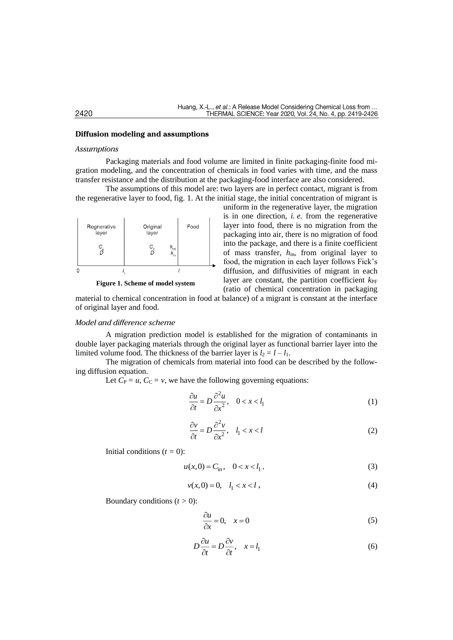### **Diffusion modeling and assumptions**

### *Assumptions*

Packaging materials and food volume are limited in finite packaging-finite food migration modeling, and the concentration of chemicals in food varies with time, and the mass transfer resistance and the distribution at the packaging-food interface are also considered.

The assumptions of this model are: two layers are in perfect contact, migrant is from the regenerative layer to food, fig. 1. At the initial stage, the initial concentration of migrant is



**Figure 1. Scheme of model system**

uniform in the regenerative layer, the migration is in one direction, *i. e.* from the regenerative layer into food, there is no migration from the packaging into air, there is no migration of food into the package, and there is a finite coefficient of mass transfer, *h*m, from original layer to food, the migration in each layer follows Fick's diffusion, and diffusivities of migrant in each layer are constant, the partition coefficient  $k_{\text{PF}}$ (ratio of chemical concentration in packaging

material to chemical concentration in food at balance) of a migrant is constant at the interface of original layer and food.

# *Model and difference scheme*

A migration prediction model is established for the migration of contaminants in double layer packaging materials through the original layer as functional barrier layer into the limited volume food. The thickness of the barrier layer is  $l_2 = l - l_1$ .

The migration of chemicals from material into food can be described by the following diffusion equation.

Let  $C_P = u$ ,  $C_C = v$ , we have the following governing equations:

$$
\frac{\partial u}{\partial t} = D \frac{\partial^2 u}{\partial x^2}, \quad 0 < x < l_1 \tag{1}
$$

$$
\frac{\partial v}{\partial t} = D \frac{\partial^2 v}{\partial x^2}, \quad l_1 < x < l \tag{2}
$$

Initial conditions  $(t = 0)$ :

$$
u(x,0) = C_{\text{in}}, \quad 0 < x < l_1,\tag{3}
$$

$$
v(x,0) = 0, \quad l_1 < x < l \tag{4}
$$

Boundary conditions  $(t > 0)$ :

$$
\frac{\partial u}{\partial x} = 0, \quad x = 0 \tag{5}
$$

$$
D\frac{\partial u}{\partial t} = D\frac{\partial v}{\partial t}, \quad x = l_1
$$
 (6)

# 2420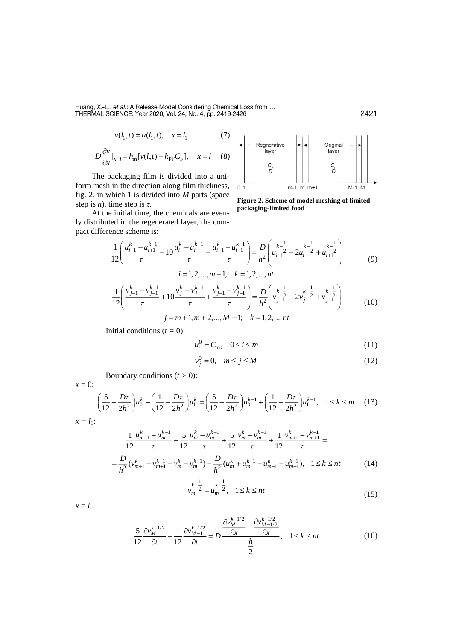$$
v(l_1, t) = u(l_1, t), \quad x = l_1 \tag{7}
$$

$$
-D\frac{\partial v}{\partial x}\big|_{x=l} = h_{\rm m}[v(l,t) - k_{\rm PF}C_{\rm F}], \quad x = l \quad (8)
$$

The packaging film is divided into a uniform mesh in the direction along film thickness, fig. 2, in which 1 is divided into *M* parts (space step is *h*), time step is *τ*.

At the initial time, the chemicals are evenly distributed in the regenerated layer, the compact difference scheme is:



**Figure 2. Scheme of model meshing of limited packaging-limited food**

$$
\frac{1}{12} \left( \frac{u_{i+1}^{k} - u_{i+1}^{k-1}}{\tau} + 10 \frac{u_i^{k} - u_i^{k-1}}{\tau} + \frac{u_{i-1}^{k} - u_{i-1}^{k-1}}{\tau} \right) = \frac{D}{h^2} \left( u_{i-1}^{k-1} - 2u_i^{k-1} + u_{i+1}^{k-1} \right)
$$
\n
$$
i = 1, 2, ..., m-1; \quad k = 1, 2, ..., nt
$$
\n(9)

$$
\frac{1}{12} \left( \frac{v_{j+1}^k - v_{j+1}^{k-1}}{\tau} + 10 \frac{v_j^k - v_j^{k-1}}{\tau} + \frac{v_{j-1}^k - v_{j-1}^{k-1}}{\tau} \right) = \frac{D}{h^2} \left( v_{j-1}^{k-1} - 2v_j^{k-1} + v_{j+1}^{k-1} \right)
$$
  
\n
$$
j = m+1, m+2, ..., M-1; \quad k = 1, 2, ..., nt
$$
 (10)

Initial conditions  $(t = 0)$ :

$$
u_i^0 = C_{\text{in}}, \quad 0 \le i \le m \tag{11}
$$

$$
v_j^0 = 0, \quad m \le j \le M \tag{12}
$$

Boundary conditions  $(t > 0)$ :

$$
\left(\frac{5}{12} + \frac{D\tau}{2h^2}\right)u_0^k + \left(\frac{1}{12} - \frac{D\tau}{2h^2}\right)u_1^k = \left(\frac{5}{12} - \frac{D\tau}{2h^2}\right)u_0^{k-1} + \left(\frac{1}{12} + \frac{D\tau}{2h^2}\right)u_1^{k-1}, \quad 1 \le k \le nt \tag{13}
$$

$$
x=l_1:
$$

*x* = 0:

$$
\frac{1}{12} \frac{u_{m-1}^{k} - u_{m-1}^{k-1}}{\tau} + \frac{5}{12} \frac{u_{m}^{k} - u_{m}^{k-1}}{\tau} + \frac{5}{12} \frac{v_{m}^{k} - v_{m}^{k-1}}{\tau} + \frac{1}{12} \frac{v_{m+1}^{k} - v_{m+1}^{k-1}}{\tau} =
$$
\n
$$
= \frac{D}{h^{2}} (v_{m+1}^{k} + v_{m+1}^{k-1} - v_{m}^{k} - v_{m}^{k-1}) - \frac{D}{h^{2}} (u_{m}^{k} + u_{m}^{k-1} - u_{m-1}^{k} - u_{m-1}^{k-1}), \quad 1 \le k \le nt \tag{14}
$$

$$
v_m^{k-\frac{1}{2}} = u_m^{k-\frac{1}{2}}, \quad 1 \le k \le nt \tag{15}
$$

 $x = l$ :

$$
\frac{5}{12}\frac{\partial v_M^{k-1/2}}{\partial t} + \frac{1}{12}\frac{\partial v_{M-1}^{k-1/2}}{\partial t} = D\frac{\frac{\partial v_M^{k-1/2}}{\partial x} - \frac{\partial v_{M-1/2}^{k-1/2}}{\partial x}}{\frac{h}{2}}, \quad 1 \le k \le nt \tag{16}
$$

2421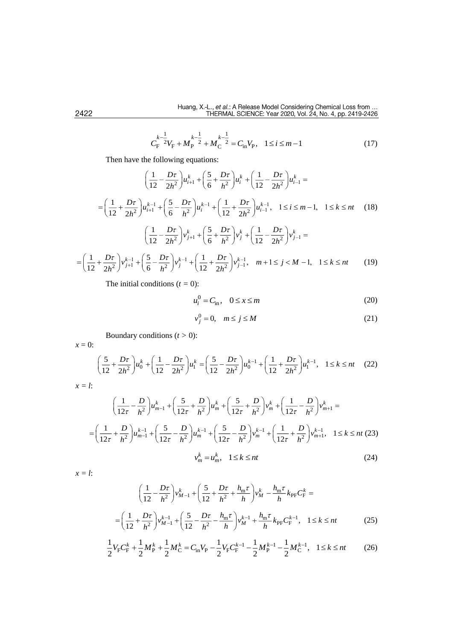$$
C_{\rm F}^{k-\frac{1}{2}}V_{\rm F} + M_{\rm P}^{k-\frac{1}{2}} + M_{\rm C}^{k-\frac{1}{2}} = C_{\rm in}V_{\rm P}, \quad 1 \le i \le m-1
$$
 (17)

Then have the following equations:

$$
\left(\frac{1}{12} - \frac{D\tau}{2h^2}\right)u_{i+1}^k + \left(\frac{5}{6} + \frac{D\tau}{h^2}\right)u_i^k + \left(\frac{1}{12} - \frac{D\tau}{2h^2}\right)u_{i-1}^k =
$$
\n
$$
= \left(\frac{1}{12} + \frac{D\tau}{2h^2}\right)u_{i+1}^{k-1} + \left(\frac{5}{6} - \frac{D\tau}{h^2}\right)u_i^{k-1} + \left(\frac{1}{12} + \frac{D\tau}{2h^2}\right)u_{i-1}^{k-1}, \quad 1 \le i \le m-1, \quad 1 \le k \le nt \tag{18}
$$
\n
$$
\left(\frac{1}{12} - \frac{D\tau}{2h^2}\right)v_{j+1}^k + \left(\frac{5}{6} + \frac{D\tau}{h^2}\right)v_j^k + \left(\frac{1}{12} - \frac{D\tau}{2h^2}\right)v_{j-1}^k =
$$
\n
$$
= \left(\frac{1}{12} + \frac{D\tau}{2h^2}\right)v_{j+1}^{k-1} + \left(\frac{5}{6} - \frac{D\tau}{h^2}\right)v_j^{k-1} + \left(\frac{1}{12} + \frac{D\tau}{2h^2}\right)v_{j-1}^{k-1}, \quad m+1 \le j < M-1, \quad 1 \le k \le nt \tag{19}
$$

The initial conditions  $(t = 0)$ :

$$
u_i^0 = C_{\text{in}}, \quad 0 \le x \le m \tag{20}
$$

$$
v_j^0 = 0, \quad m \le j \le M \tag{21}
$$

Boundary conditions (*t >* 0):

*x* = 0:

$$
\left(\frac{5}{12} + \frac{D\tau}{2h^2}\right)u_0^k + \left(\frac{1}{12} - \frac{D\tau}{2h^2}\right)u_1^k = \left(\frac{5}{12} - \frac{D\tau}{2h^2}\right)u_0^{k-1} + \left(\frac{1}{12} + \frac{D\tau}{2h^2}\right)u_1^{k-1}, \quad 1 \le k \le nt \tag{22}
$$

$$
x=l:
$$

$$
\left(\frac{1}{12\tau} - \frac{D}{h^2}\right)u_{m-1}^k + \left(\frac{5}{12\tau} + \frac{D}{h^2}\right)u_m^k + \left(\frac{5}{12\tau} + \frac{D}{h^2}\right)v_m^k + \left(\frac{1}{12\tau} - \frac{D}{h^2}\right)v_{m+1}^k =
$$
\n
$$
= \left(\frac{1}{12\tau} + \frac{D}{h^2}\right)u_{m-1}^{k-1} + \left(\frac{5}{12\tau} - \frac{D}{h^2}\right)u_m^{k-1} + \left(\frac{5}{12\tau} - \frac{D}{h^2}\right)v_m^{k-1} + \left(\frac{1}{12\tau} + \frac{D}{h^2}\right)v_{m+1}^{k-1}, \quad 1 \le k \le nt \tag{24}
$$

*x = l*:

$$
\left(\frac{1}{12} - \frac{D\tau}{h^2}\right) v_{M-1}^k + \left(\frac{5}{12} + \frac{D\tau}{h^2} + \frac{h_m \tau}{h}\right) v_M^k - \frac{h_m \tau}{h} k_{\text{PF}} C_{\text{F}}^k =
$$
\n
$$
= \left(\frac{1}{12} + \frac{D\tau}{h^2}\right) v_{M-1}^{k-1} + \left(\frac{5}{12} - \frac{D\tau}{h^2} - \frac{h_m \tau}{h}\right) v_M^{k-1} + \frac{h_m \tau}{h} k_{\text{PF}} C_{\text{F}}^{k-1}, \quad 1 \le k \le nt \tag{25}
$$

$$
\frac{1}{2}V_{\rm F}C_{\rm F}^k + \frac{1}{2}M_{\rm P}^k + \frac{1}{2}M_{\rm C}^k = C_{\rm in}V_{\rm P} - \frac{1}{2}V_{\rm F}C_{\rm F}^{k-1} - \frac{1}{2}M_{\rm P}^{k-1} - \frac{1}{2}M_{\rm C}^{k-1}, \quad 1 \le k \le nt \tag{26}
$$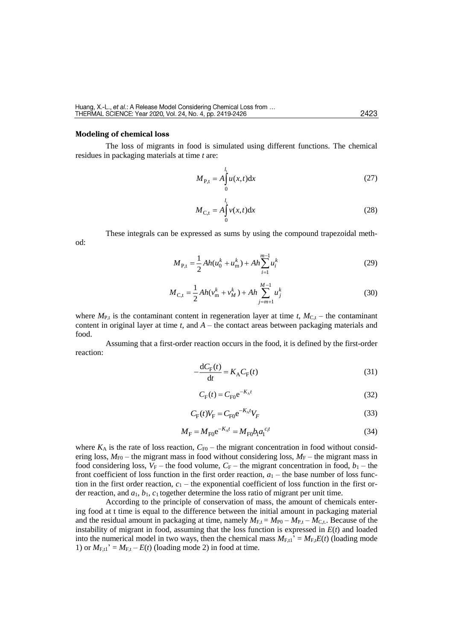#### **Modeling of chemical loss**

od:

The loss of migrants in food is simulated using different functions. The chemical residues in packaging materials at time *t* are:

$$
M_{\rm P,t} = A \int_0^{l_1} u(x,t) \mathrm{d}x \tag{27}
$$

$$
M_{C,t} = A \int_{0}^{l_1} v(x,t) dx
$$
 (28)

These integrals can be expressed as sums by using the compound trapezoidal meth-

$$
M_{\rm P,t} = \frac{1}{2} Ah(u_0^k + u_{\rm m}^k) + Ah \sum_{i=1}^{m-1} u_i^k
$$
 (29)

$$
M_{\rm C,t} = \frac{1}{2} Ah(v_{\rm m}^k + v_M^k) + Ah \sum_{j=m+1}^{M-1} u_j^k
$$
 (30)

where  $M_{P,t}$  is the contaminant content in regeneration layer at time *t*,  $M_{C,t}$  – the contaminant content in original layer at time *t*, and *A* – the contact areas between packaging materials and food.

Assuming that a first-order reaction occurs in the food, it is defined by the first-order reaction:

$$
-\frac{dC_{F}(t)}{dt} = K_{A}C_{F}(t)
$$
\n(31)

$$
C_{\rm F}(t) = C_{\rm F0} e^{-K_{\rm A}t} \tag{32}
$$

$$
C_{\rm F}(t)V_{\rm F} = C_{\rm F0} e^{-K_A t} V_F
$$
\n
$$
\tag{33}
$$

$$
M_{\rm F} = M_{\rm F0} e^{-K_{\rm A}t} = M_{\rm F0} b_{\rm I} a_{\rm I}^{c_{\rm I}t} \tag{34}
$$

where  $K_A$  is the rate of loss reaction,  $C_{F0}$  – the migrant concentration in food without considering loss,  $M_{\text{F0}}$  – the migrant mass in food without considering loss,  $M_{\text{F}}$  – the migrant mass in food considering loss,  $V_F$  – the food volume,  $C_F$  – the migrant concentration in food,  $b_1$  – the front coefficient of loss function in the first order reaction,  $a_1$  – the base number of loss function in the first order reaction,  $c_1$  – the exponential coefficient of loss function in the first order reaction, and *a*1, *b*1, *c*<sup>1</sup> together determine the loss ratio of migrant per unit time.

According to the principle of conservation of mass, the amount of chemicals entering food at t time is equal to the difference between the initial amount in packaging material and the residual amount in packaging at time, namely  $M_{F,t} = M_{P0} - M_{P,t} - M_{C,t}$ . Because of the instability of migrant in food, assuming that the loss function is expressed in *E*(*t*) and loaded into the numerical model in two ways, then the chemical mass  $M_{F,t}$ <sup>2</sup> =  $M_{F,t}E(t)$  (loading mode 1) or  $M_{F,1}$ <sup> $\cdot$ </sup> =  $M_{F,t}$  –  $E(t)$  (loading mode 2) in food at time.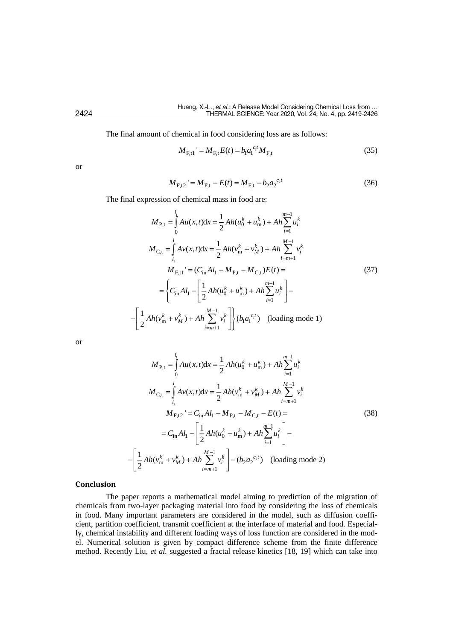The final amount of chemical in food considering loss are as follows:

$$
M_{\text{F,t}1} = M_{\text{F,t}} E(t) = b_{1} a_{1}^{c_{1}t} M_{\text{F,t}}
$$
\n(35)

or

$$
M_{F,t2} = M_{F,t} - E(t) = M_{F,t} - b_2 a_2^{c_2 t}
$$
\n(36)

The final expression of chemical mass in food are:

$$
M_{\text{P,t}} = \int_{0}^{l_{1}} A u(x, t) dx = \frac{1}{2} Ah(u_{0}^{k} + u_{m}^{k}) + Ah \sum_{i=1}^{m-1} u_{i}^{k}
$$
  
\n
$$
M_{\text{C,t}} = \int_{l_{1}}^{l} A v(x, t) dx = \frac{1}{2} Ah(v_{m}^{k} + v_{M}^{k}) + Ah \sum_{i=m+1}^{M-1} v_{i}^{k}
$$
  
\n
$$
M_{\text{F,t1}}' = (C_{\text{in}} Al_{1} - M_{\text{P,t}} - M_{\text{C,t}})E(t) =
$$
  
\n
$$
= \left\{ C_{\text{in}} Al_{1} - \left[ \frac{1}{2} Ah(u_{0}^{k} + u_{m}^{k}) + Ah \sum_{i=1}^{m-1} u_{i}^{k} \right] - \left[ \frac{1}{2} Ah(v_{m}^{k} + v_{M}^{k}) + Ah \sum_{i=m+1}^{M-1} v_{i}^{k} \right] \right\} (b_{1} a_{1}^{c_{1}t}) \text{ (loading mode 1)}
$$

or

$$
M_{P,t} = \int_{0}^{l_1} Au(x,t)dx = \frac{1}{2} Ah(u_0^k + u_m^k) + Ah \sum_{i=1}^{m-1} u_i^k
$$
  
\n
$$
M_{C,t} = \int_{l_1}^{l} Av(x,t)dx = \frac{1}{2} Ah(v_m^k + v_M^k) + Ah \sum_{i=m+1}^{M-1} v_i^k
$$
  
\n
$$
M_{F,t2} = C_{in} Al_1 - M_{P,t} - M_{C,t} - E(t) =
$$
  
\n
$$
= C_{in} Al_1 - \left[ \frac{1}{2} Ah(u_0^k + u_m^k) + Ah \sum_{i=1}^{m-1} u_i^k \right] -
$$
  
\n
$$
- \left[ \frac{1}{2} Ah(v_m^k + v_M^k) + Ah \sum_{i=m+1}^{M-1} v_i^k \right] - (b_2 a_2^{c_2 t}) \text{ (loading mode 2)}
$$

### **Conclusion**

The paper reports a mathematical model aiming to prediction of the migration of chemicals from two-layer packaging material into food by considering the loss of chemicals in food. Many important parameters are considered in the model, such as diffusion coefficient, partition coefficient, transmit coefficient at the interface of material and food. Especially, chemical instability and different loading ways of loss function are considered in the model. Numerical solution is given by compact difference scheme from the finite difference method. Recently Liu, *et al.* suggested a fractal release kinetics [18, 19] which can take into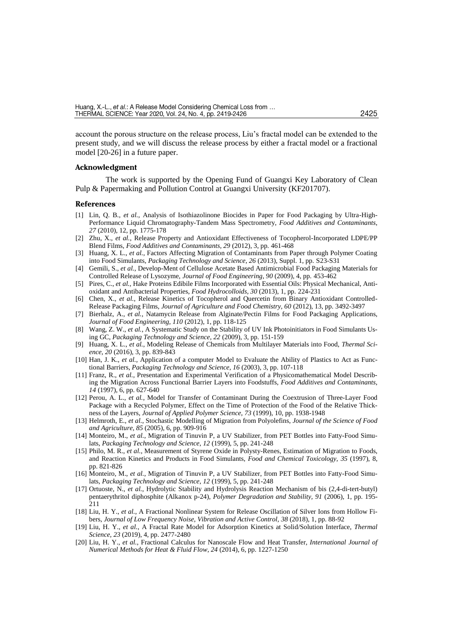account the porous structure on the release process, Liu's fractal model can be extended to the present study, and we will discuss the release process by either a fractal model or a fractional model [20-26] in a future paper.

# **Acknowledgment**

The work is supported by the Opening Fund of Guangxi Key Laboratory of Clean Pulp & Papermaking and Pollution Control at Guangxi University (KF201707).

#### **References**

- [1] Lin, Q. B., *et al.*, Analysis of Isothiazolinone Biocides in Paper for Food Packaging by Ultra-High-Performance Liquid Chromatography-Tandem Mass Spectrometry, *Food Additives and Contaminants*, *27* (2010), 12, pp. 1775-178
- [2] Zhu, X., *et al.*, Release Property and Antioxidant Effectiveness of Tocopherol-Incorporated LDPE/PP Blend Films, *Food Additives and Contaminants, 29* (2012), 3, pp. 461-468
- [3] Huang, X. L., *et al.*, Factors Affecting Migration of Contaminants from Paper through Polymer Coating into Food Simulants, *Packaging Technology and Science, 26* (2013), Suppl. 1, pp. S23-S31
- [4] Gemili, S., *et al.*, Develop-Ment of Cellulose Acetate Based Antimicrobial Food Packaging Materials for Controlled Release of Lysozyme, *Journal of Food Engineering, 90* (2009), 4, pp. 453-462
- [5] Pires, C., *et al.*, Hake Proteins Edibile Films Incorporated with Essential Oils: Physical Mechanical, Antioxidant and Antibacterial Properties, *Food Hydrocolloids, 30* (2013), 1, pp. 224-231
- [6] Chen, X., *et al.*, Release Kinetics of Tocopherol and Quercetin from Binary Antioxidant Controlled-Release Packaging Films, *Journal of Agriculture and Food Chemistry, 60* (2012), 13, pp. 3492-3497
- [7] Bierhalz, A., *et al.*, Natamycin Release from Alginate/Pectin Films for Food Packaging Applications, *Journal of Food Engineering, 110* (2012), 1, pp. 118-125
- [8] Wang, Z. W., *et al.*, A Systematic Study on the Stability of UV Ink Photoinitiators in Food Simulants Using GC, *Packaging Technology and Science, 22* (2009), 3, pp. 151-159
- [9] Huang, X. L., *et al.*, Modeling Release of Chemicals from Multilayer Materials into Food, *Thermal Science*, *20* (2016), 3, pp. 839-843
- [10] Han, J. K., *et al.*, Application of a computer Model to Evaluate the Ability of Plastics to Act as Functional Barriers, *Packaging Technology and Science*, *16* (2003), 3, pp. 107-118
- [11] Franz, R., *et al.*, Presentation and Experimental Verification of a Physicomathematical Model Describing the Migration Across Functional Barrier Layers into Foodstuffs, *Food Additives and Contaminants*, *14* (1997), 6, pp. 627-640
- [12] Perou, A. L., *et al.*, Model for Transfer of Contaminant During the Coextrusion of Three-Layer Food Package with a Recycled Polymer, Effect on the Time of Protection of the Food of the Relative Thickness of the Layers, *Journal of Applied Polymer Science*, *73* (1999), 10, pp. 1938-1948
- [13] Helmroth, E., *et al.*, Stochastic Modelling of Migration from Polyolefins, *Journal of the Science of Food and Agriculture*, *85* (2005), 6, pp. 909-916
- [14] Monteiro, M., *et al.*, Migration of Tinuvin P, a UV Stabilizer, from PET Bottles into Fatty-Food Simulats, *Packaging Technology and Science*, *12* (1999), 5, pp. 241-248
- [15] Philo, M. R., *et al.*, Measurement of Styrene Oxide in Polysty-Renes, Estimation of Migration to Foods, and Reaction Kinetics and Products in Food Simulants, *Food and Chemical Toxicology, 35* (1997), 8, pp. 821-826
- [16] Monteiro, M., *et al.*, Migration of Tinuvin P, a UV Stabilizer, from PET Bottles into Fatty-Food Simulats, *Packaging Technology and Science*, *12* (1999), 5, pp. 241-248
- [17] Ortuoste, N., *et al.*, Hydrolytic Stability and Hydrolysis Reaction Mechanism of bis (2,4-di-tert-butyl) pentaerythritol diphosphite (Alkanox p-24), *Polymer Degradation and Stability, 91* (2006), 1, pp. 195- 211
- [18] Liu, H. Y., *et al.*, A Fractional Nonlinear System for Release Oscillation of Silver Ions from Hollow Fibers, *Journal of Low Frequency Noise, Vibration and Active Control, 38* (2018), 1, pp. 88-92
- [19] Liu, H. Y., *et al.*, A Fractal Rate Model for Adsorption Kinetics at Solid/Solution Interface, *Thermal Science*, *23* (2019), 4, pp. 2477-2480
- [20] Liu, H. Y., *et al.*, Fractional Calculus for Nanoscale Flow and Heat Transfer*, International Journal of Numerical Methods for Heat & Fluid Flow*, *24* (2014), 6, pp. 1227-1250